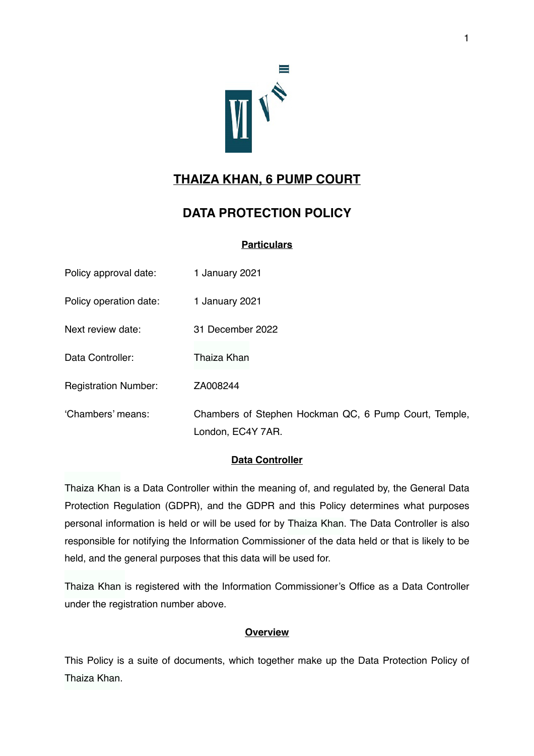

# **THAIZA KHAN, 6 PUMP COURT**

# **DATA PROTECTION POLICY**

# **Particulars**

| Policy approval date:       | 1 January 2021                                                             |
|-----------------------------|----------------------------------------------------------------------------|
| Policy operation date:      | 1 January 2021                                                             |
| Next review date:           | 31 December 2022                                                           |
| Data Controller:            | Thaiza Khan                                                                |
| <b>Registration Number:</b> | ZA008244                                                                   |
| 'Chambers' means:           | Chambers of Stephen Hockman QC, 6 Pump Court, Temple,<br>London, EC4Y 7AR. |

# **Data Controller**

Thaiza Khan is a Data Controller within the meaning of, and regulated by, the General Data Protection Regulation (GDPR), and the GDPR and this Policy determines what purposes personal information is held or will be used for by Thaiza Khan. The Data Controller is also responsible for notifying the Information Commissioner of the data held or that is likely to be held, and the general purposes that this data will be used for.

Thaiza Khan is registered with the Information Commissioner's Office as a Data Controller under the registration number above.

# **Overview**

This Policy is a suite of documents, which together make up the Data Protection Policy of Thaiza Khan.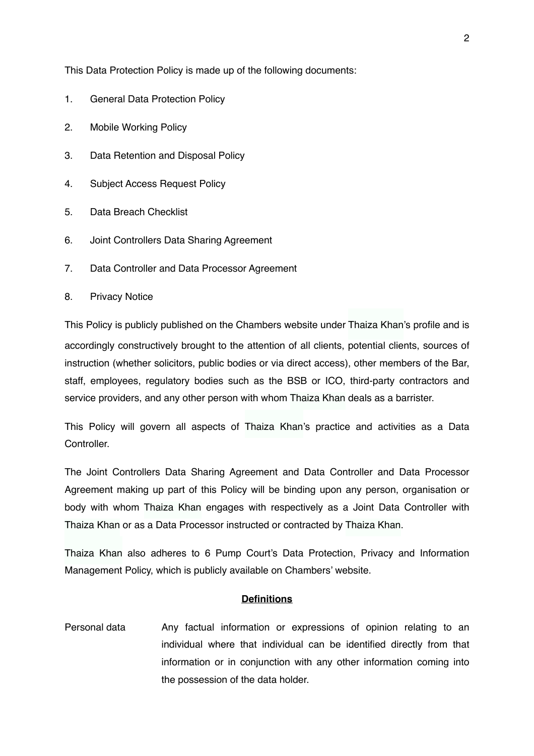This Data Protection Policy is made up of the following documents:

- 1. General Data Protection Policy
- 2. Mobile Working Policy
- 3. Data Retention and Disposal Policy
- 4. Subject Access Request Policy
- 5. Data Breach Checklist
- 6. Joint Controllers Data Sharing Agreement
- 7. Data Controller and Data Processor Agreement
- 8. Privacy Notice

This Policy is publicly published on the Chambers website under Thaiza Khan's profile and is accordingly constructively brought to the attention of all clients, potential clients, sources of instruction (whether solicitors, public bodies or via direct access), other members of the Bar, staff, employees, regulatory bodies such as the BSB or ICO, third-party contractors and service providers, and any other person with whom Thaiza Khan deals as a barrister.

This Policy will govern all aspects of Thaiza Khan's practice and activities as a Data Controller.

The Joint Controllers Data Sharing Agreement and Data Controller and Data Processor Agreement making up part of this Policy will be binding upon any person, organisation or body with whom Thaiza Khan engages with respectively as a Joint Data Controller with Thaiza Khan or as a Data Processor instructed or contracted by Thaiza Khan.

Thaiza Khan also adheres to 6 Pump Court's Data Protection, Privacy and Information Management Policy, which is publicly available on Chambers' website.

#### **Definitions**

Personal data Any factual information or expressions of opinion relating to an individual where that individual can be identified directly from that information or in conjunction with any other information coming into the possession of the data holder.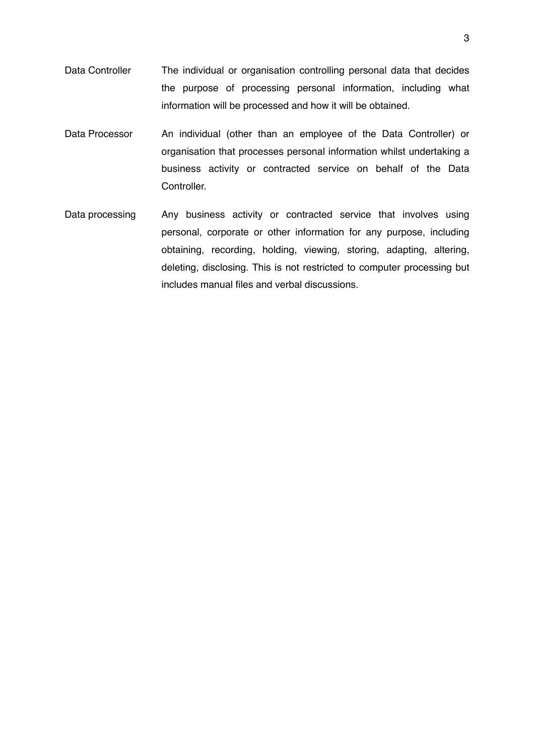- Data Controller The individual or organisation controlling personal data that decides the purpose of processing personal information, including what information will be processed and how it will be obtained.
- Data Processor An individual (other than an employee of the Data Controller) or organisation that processes personal information whilst undertaking a business activity or contracted service on behalf of the Data Controller.
- Data processing Any business activity or contracted service that involves using personal, corporate or other information for any purpose, including obtaining, recording, holding, viewing, storing, adapting, altering, deleting, disclosing. This is not restricted to computer processing but includes manual files and verbal discussions.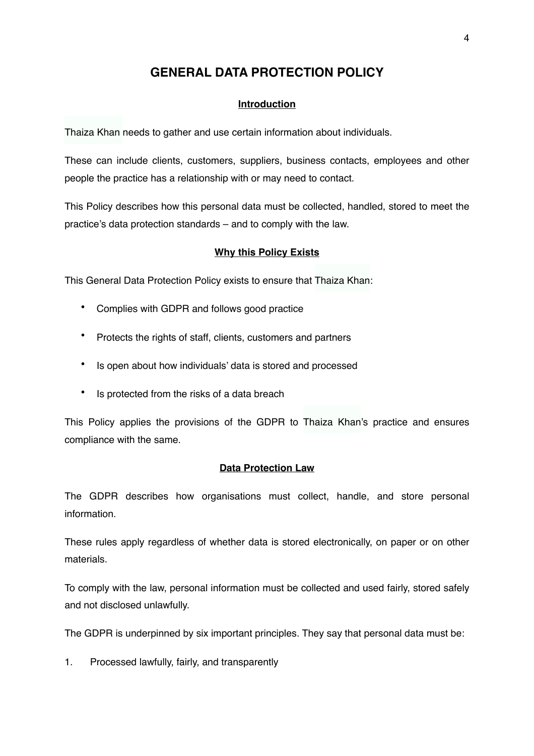# **GENERAL DATA PROTECTION POLICY**

# **Introduction**

Thaiza Khan needs to gather and use certain information about individuals.

These can include clients, customers, suppliers, business contacts, employees and other people the practice has a relationship with or may need to contact.

This Policy describes how this personal data must be collected, handled, stored to meet the practice's data protection standards – and to comply with the law.

### **Why this Policy Exists**

This General Data Protection Policy exists to ensure that Thaiza Khan:

- Complies with GDPR and follows good practice
- Protects the rights of staff, clients, customers and partners
- Is open about how individuals' data is stored and processed
- Is protected from the risks of a data breach

This Policy applies the provisions of the GDPR to Thaiza Khan's practice and ensures compliance with the same.

### **Data Protection Law**

The GDPR describes how organisations must collect, handle, and store personal information.

These rules apply regardless of whether data is stored electronically, on paper or on other materials.

To comply with the law, personal information must be collected and used fairly, stored safely and not disclosed unlawfully.

The GDPR is underpinned by six important principles. They say that personal data must be:

1. Processed lawfully, fairly, and transparently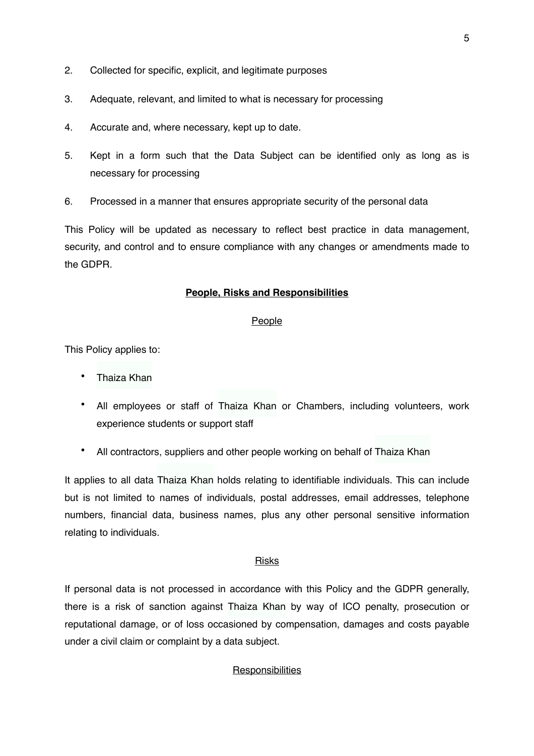- 2. Collected for specific, explicit, and legitimate purposes
- 3. Adequate, relevant, and limited to what is necessary for processing
- 4. Accurate and, where necessary, kept up to date.
- 5. Kept in a form such that the Data Subject can be identified only as long as is necessary for processing
- 6. Processed in a manner that ensures appropriate security of the personal data

This Policy will be updated as necessary to reflect best practice in data management, security, and control and to ensure compliance with any changes or amendments made to the GDPR.

### **People, Risks and Responsibilities**

### People

This Policy applies to:

- Thaiza Khan
- All employees or staff of Thaiza Khan or Chambers, including volunteers, work experience students or support staff
- All contractors, suppliers and other people working on behalf of Thaiza Khan

It applies to all data Thaiza Khan holds relating to identifiable individuals. This can include but is not limited to names of individuals, postal addresses, email addresses, telephone numbers, financial data, business names, plus any other personal sensitive information relating to individuals.

### Risks

If personal data is not processed in accordance with this Policy and the GDPR generally, there is a risk of sanction against Thaiza Khan by way of ICO penalty, prosecution or reputational damage, or of loss occasioned by compensation, damages and costs payable under a civil claim or complaint by a data subject.

# **Responsibilities**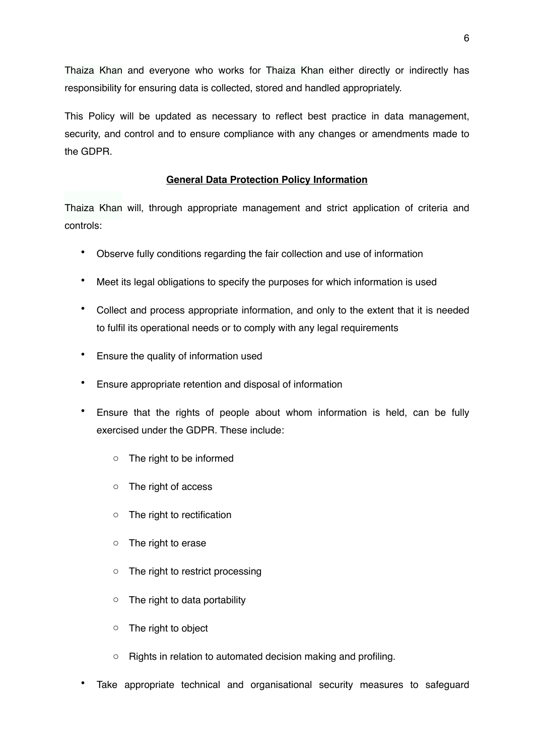Thaiza Khan and everyone who works for Thaiza Khan either directly or indirectly has responsibility for ensuring data is collected, stored and handled appropriately.

This Policy will be updated as necessary to reflect best practice in data management, security, and control and to ensure compliance with any changes or amendments made to the GDPR.

# **General Data Protection Policy Information**

Thaiza Khan will, through appropriate management and strict application of criteria and controls:

- Observe fully conditions regarding the fair collection and use of information
- Meet its legal obligations to specify the purposes for which information is used
- Collect and process appropriate information, and only to the extent that it is needed to fulfil its operational needs or to comply with any legal requirements
- Ensure the quality of information used
- Ensure appropriate retention and disposal of information
- Ensure that the rights of people about whom information is held, can be fully exercised under the GDPR. These include:
	- o The right to be informed
	- o The right of access
	- o The right to rectification
	- o The right to erase
	- o The right to restrict processing
	- $\circ$  The right to data portability
	- o The right to object
	- o Rights in relation to automated decision making and profiling.
- Take appropriate technical and organisational security measures to safequard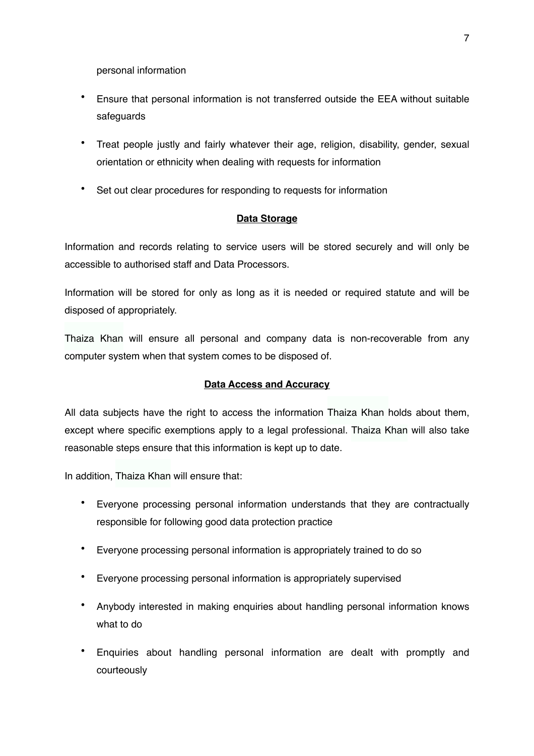personal information

- Ensure that personal information is not transferred outside the EEA without suitable safeguards
- Treat people justly and fairly whatever their age, religion, disability, gender, sexual orientation or ethnicity when dealing with requests for information
- Set out clear procedures for responding to requests for information

# **Data Storage**

Information and records relating to service users will be stored securely and will only be accessible to authorised staff and Data Processors.

Information will be stored for only as long as it is needed or required statute and will be disposed of appropriately.

Thaiza Khan will ensure all personal and company data is non-recoverable from any computer system when that system comes to be disposed of.

# **Data Access and Accuracy**

All data subjects have the right to access the information Thaiza Khan holds about them, except where specific exemptions apply to a legal professional. Thaiza Khan will also take reasonable steps ensure that this information is kept up to date.

In addition, Thaiza Khan will ensure that:

- Everyone processing personal information understands that they are contractually responsible for following good data protection practice
- Everyone processing personal information is appropriately trained to do so
- Everyone processing personal information is appropriately supervised
- Anybody interested in making enquiries about handling personal information knows what to do
- Enquiries about handling personal information are dealt with promptly and courteously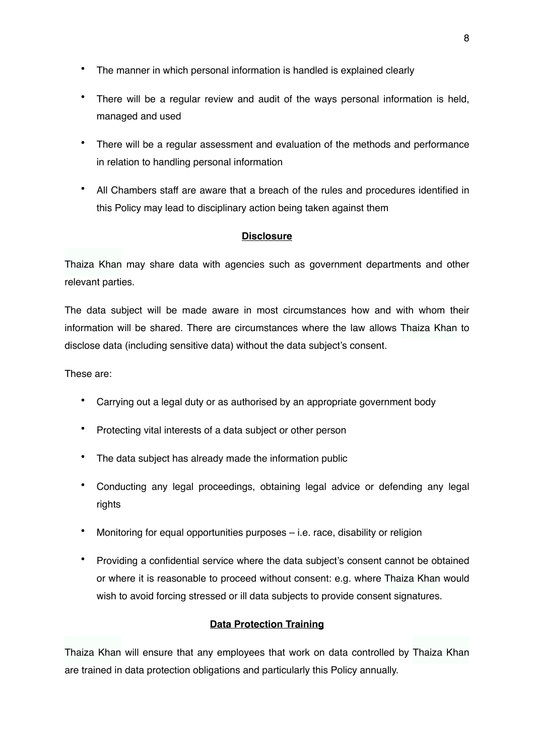- The manner in which personal information is handled is explained clearly
- There will be a regular review and audit of the ways personal information is held, managed and used
- There will be a regular assessment and evaluation of the methods and performance in relation to handling personal information
- All Chambers staff are aware that a breach of the rules and procedures identified in this Policy may lead to disciplinary action being taken against them

### **Disclosure**

Thaiza Khan may share data with agencies such as government departments and other relevant parties.

The data subject will be made aware in most circumstances how and with whom their information will be shared. There are circumstances where the law allows Thaiza Khan to disclose data (including sensitive data) without the data subject's consent.

These are:

- Carrying out a legal duty or as authorised by an appropriate government body
- Protecting vital interests of a data subject or other person
- The data subject has already made the information public
- Conducting any legal proceedings, obtaining legal advice or defending any legal rights
- Monitoring for equal opportunities purposes i.e. race, disability or religion
- Providing a confidential service where the data subject's consent cannot be obtained or where it is reasonable to proceed without consent: e.g. where Thaiza Khan would wish to avoid forcing stressed or ill data subjects to provide consent signatures.

### **Data Protection Training**

Thaiza Khan will ensure that any employees that work on data controlled by Thaiza Khan are trained in data protection obligations and particularly this Policy annually.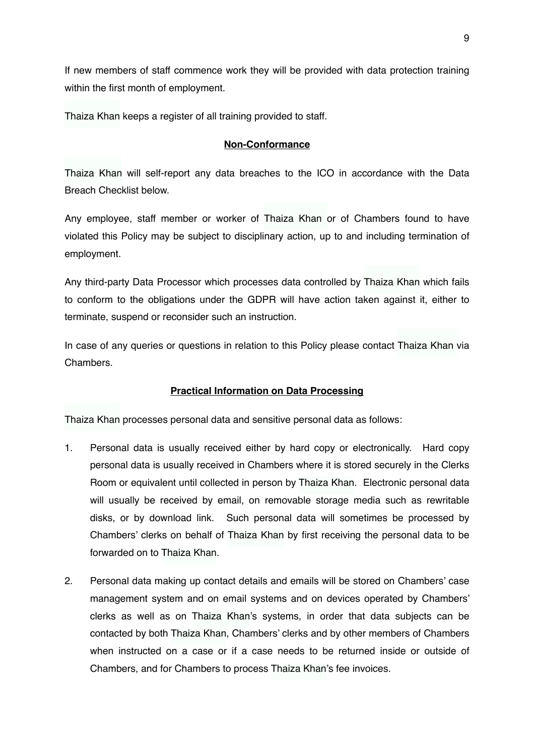If new members of staff commence work they will be provided with data protection training within the first month of employment.

Thaiza Khan keeps a register of all training provided to staff.

# **Non-Conformance**

Thaiza Khan will self-report any data breaches to the ICO in accordance with the Data Breach Checklist below.

Any employee, staff member or worker of Thaiza Khan or of Chambers found to have violated this Policy may be subject to disciplinary action, up to and including termination of employment.

Any third-party Data Processor which processes data controlled by Thaiza Khan which fails to conform to the obligations under the GDPR will have action taken against it, either to terminate, suspend or reconsider such an instruction.

In case of any queries or questions in relation to this Policy please contact Thaiza Khan via Chambers.

# **Practical Information on Data Processing**

Thaiza Khan processes personal data and sensitive personal data as follows:

- 1. Personal data is usually received either by hard copy or electronically. Hard copy personal data is usually received in Chambers where it is stored securely in the Clerks Room or equivalent until collected in person by Thaiza Khan. Electronic personal data will usually be received by email, on removable storage media such as rewritable disks, or by download link. Such personal data will sometimes be processed by Chambers' clerks on behalf of Thaiza Khan by first receiving the personal data to be forwarded on to Thaiza Khan.
- 2. Personal data making up contact details and emails will be stored on Chambers' case management system and on email systems and on devices operated by Chambers' clerks as well as on Thaiza Khan's systems, in order that data subjects can be contacted by both Thaiza Khan, Chambers' clerks and by other members of Chambers when instructed on a case or if a case needs to be returned inside or outside of Chambers, and for Chambers to process Thaiza Khan's fee invoices.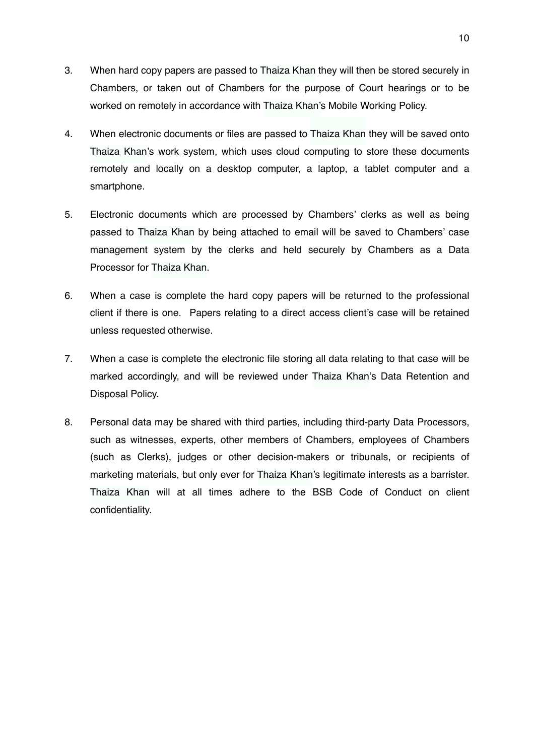- 3. When hard copy papers are passed to Thaiza Khan they will then be stored securely in Chambers, or taken out of Chambers for the purpose of Court hearings or to be worked on remotely in accordance with Thaiza Khan's Mobile Working Policy.
- 4. When electronic documents or files are passed to Thaiza Khan they will be saved onto Thaiza Khan's work system, which uses cloud computing to store these documents remotely and locally on a desktop computer, a laptop, a tablet computer and a smartphone.
- 5. Electronic documents which are processed by Chambers' clerks as well as being passed to Thaiza Khan by being attached to email will be saved to Chambers' case management system by the clerks and held securely by Chambers as a Data Processor for Thaiza Khan.
- 6. When a case is complete the hard copy papers will be returned to the professional client if there is one. Papers relating to a direct access client's case will be retained unless requested otherwise.
- 7. When a case is complete the electronic file storing all data relating to that case will be marked accordingly, and will be reviewed under Thaiza Khan's Data Retention and Disposal Policy.
- 8. Personal data may be shared with third parties, including third-party Data Processors, such as witnesses, experts, other members of Chambers, employees of Chambers (such as Clerks), judges or other decision-makers or tribunals, or recipients of marketing materials, but only ever for Thaiza Khan's legitimate interests as a barrister. Thaiza Khan will at all times adhere to the BSB Code of Conduct on client confidentiality.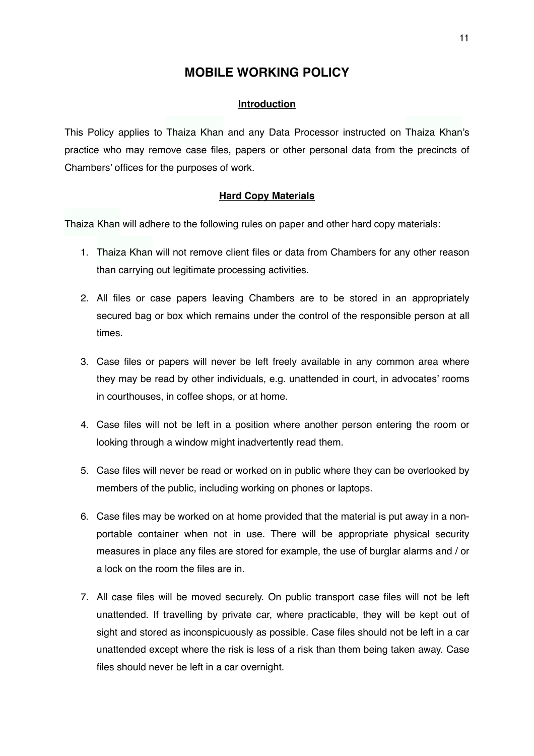# **MOBILE WORKING POLICY**

### **Introduction**

This Policy applies to Thaiza Khan and any Data Processor instructed on Thaiza Khan's practice who may remove case files, papers or other personal data from the precincts of Chambers' offices for the purposes of work.

#### **Hard Copy Materials**

Thaiza Khan will adhere to the following rules on paper and other hard copy materials:

- 1. Thaiza Khan will not remove client files or data from Chambers for any other reason than carrying out legitimate processing activities.
- 2. All files or case papers leaving Chambers are to be stored in an appropriately secured bag or box which remains under the control of the responsible person at all times.
- 3. Case files or papers will never be left freely available in any common area where they may be read by other individuals, e.g. unattended in court, in advocates' rooms in courthouses, in coffee shops, or at home.
- 4. Case files will not be left in a position where another person entering the room or looking through a window might inadvertently read them.
- 5. Case files will never be read or worked on in public where they can be overlooked by members of the public, including working on phones or laptops.
- 6. Case files may be worked on at home provided that the material is put away in a nonportable container when not in use. There will be appropriate physical security measures in place any files are stored for example, the use of burglar alarms and / or a lock on the room the files are in.
- 7. All case files will be moved securely. On public transport case files will not be left unattended. If travelling by private car, where practicable, they will be kept out of sight and stored as inconspicuously as possible. Case files should not be left in a car unattended except where the risk is less of a risk than them being taken away. Case files should never be left in a car overnight.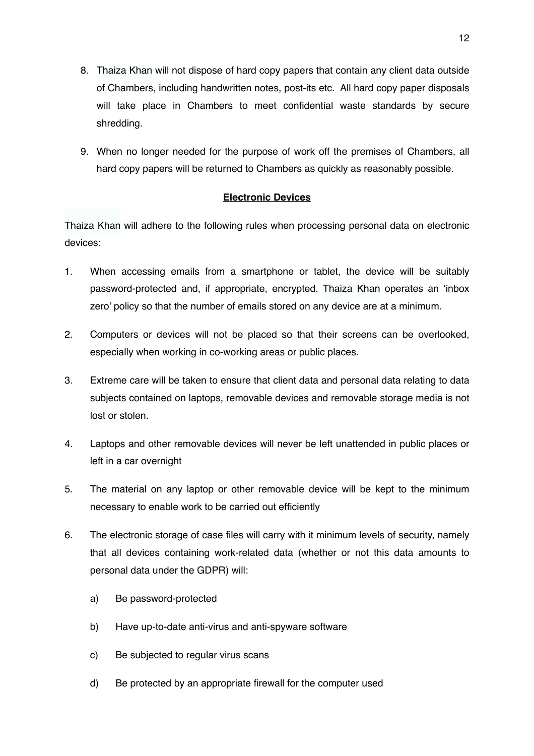- 8. Thaiza Khan will not dispose of hard copy papers that contain any client data outside of Chambers, including handwritten notes, post-its etc. All hard copy paper disposals will take place in Chambers to meet confidential waste standards by secure shredding.
- 9. When no longer needed for the purpose of work off the premises of Chambers, all hard copy papers will be returned to Chambers as quickly as reasonably possible.

### **Electronic Devices**

Thaiza Khan will adhere to the following rules when processing personal data on electronic devices:

- 1. When accessing emails from a smartphone or tablet, the device will be suitably password-protected and, if appropriate, encrypted. Thaiza Khan operates an 'inbox zero' policy so that the number of emails stored on any device are at a minimum.
- 2. Computers or devices will not be placed so that their screens can be overlooked, especially when working in co-working areas or public places.
- 3. Extreme care will be taken to ensure that client data and personal data relating to data subjects contained on laptops, removable devices and removable storage media is not lost or stolen.
- 4. Laptops and other removable devices will never be left unattended in public places or left in a car overnight
- 5. The material on any laptop or other removable device will be kept to the minimum necessary to enable work to be carried out efficiently
- 6. The electronic storage of case files will carry with it minimum levels of security, namely that all devices containing work-related data (whether or not this data amounts to personal data under the GDPR) will:
	- a) Be password-protected
	- b) Have up-to-date anti-virus and anti-spyware software
	- c) Be subjected to regular virus scans
	- d) Be protected by an appropriate firewall for the computer used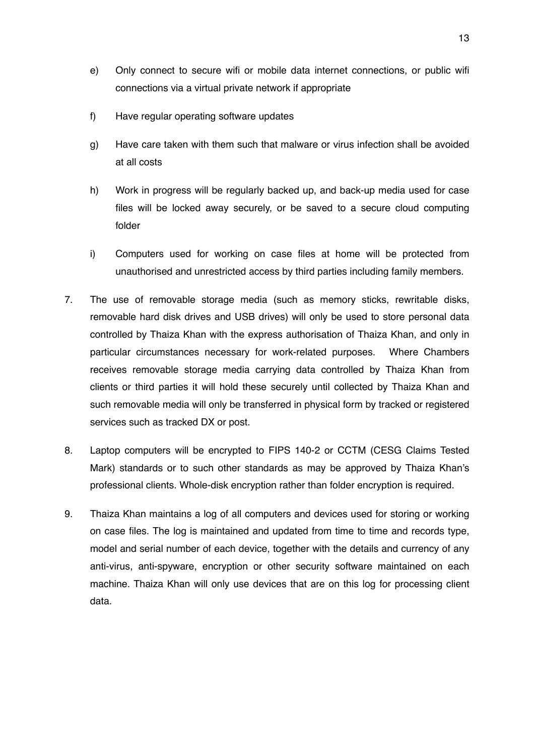- e) Only connect to secure wifi or mobile data internet connections, or public wifi connections via a virtual private network if appropriate
- f) Have regular operating software updates
- g) Have care taken with them such that malware or virus infection shall be avoided at all costs
- h) Work in progress will be regularly backed up, and back-up media used for case files will be locked away securely, or be saved to a secure cloud computing folder
- i) Computers used for working on case files at home will be protected from unauthorised and unrestricted access by third parties including family members.
- 7. The use of removable storage media (such as memory sticks, rewritable disks, removable hard disk drives and USB drives) will only be used to store personal data controlled by Thaiza Khan with the express authorisation of Thaiza Khan, and only in particular circumstances necessary for work-related purposes. Where Chambers receives removable storage media carrying data controlled by Thaiza Khan from clients or third parties it will hold these securely until collected by Thaiza Khan and such removable media will only be transferred in physical form by tracked or registered services such as tracked DX or post.
- 8. Laptop computers will be encrypted to FIPS 140-2 or CCTM (CESG Claims Tested Mark) standards or to such other standards as may be approved by Thaiza Khan's professional clients. Whole-disk encryption rather than folder encryption is required.
- 9. Thaiza Khan maintains a log of all computers and devices used for storing or working on case files. The log is maintained and updated from time to time and records type, model and serial number of each device, together with the details and currency of any anti-virus, anti-spyware, encryption or other security software maintained on each machine. Thaiza Khan will only use devices that are on this log for processing client data.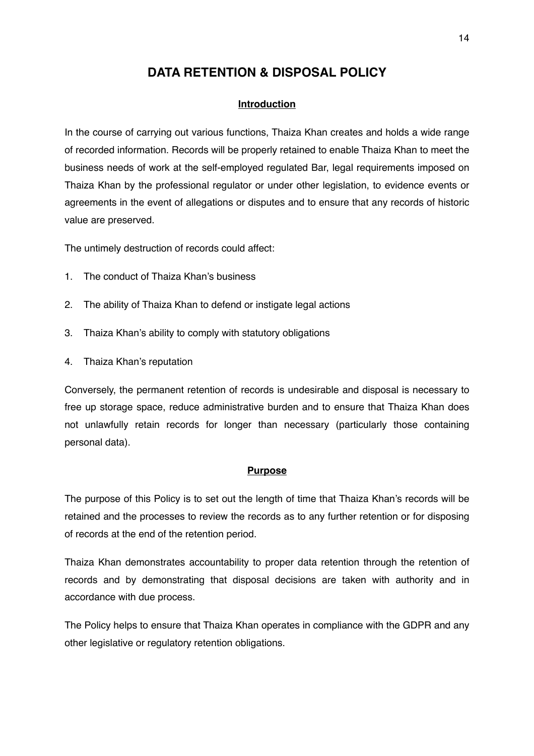# **DATA RETENTION & DISPOSAL POLICY**

#### **Introduction**

In the course of carrying out various functions, Thaiza Khan creates and holds a wide range of recorded information. Records will be properly retained to enable Thaiza Khan to meet the business needs of work at the self-employed regulated Bar, legal requirements imposed on Thaiza Khan by the professional regulator or under other legislation, to evidence events or agreements in the event of allegations or disputes and to ensure that any records of historic value are preserved.

The untimely destruction of records could affect:

- 1. The conduct of Thaiza Khan's business
- 2. The ability of Thaiza Khan to defend or instigate legal actions
- 3. Thaiza Khan's ability to comply with statutory obligations
- 4. Thaiza Khan's reputation

Conversely, the permanent retention of records is undesirable and disposal is necessary to free up storage space, reduce administrative burden and to ensure that Thaiza Khan does not unlawfully retain records for longer than necessary (particularly those containing personal data).

#### **Purpose**

The purpose of this Policy is to set out the length of time that Thaiza Khan's records will be retained and the processes to review the records as to any further retention or for disposing of records at the end of the retention period.

Thaiza Khan demonstrates accountability to proper data retention through the retention of records and by demonstrating that disposal decisions are taken with authority and in accordance with due process.

The Policy helps to ensure that Thaiza Khan operates in compliance with the GDPR and any other legislative or regulatory retention obligations.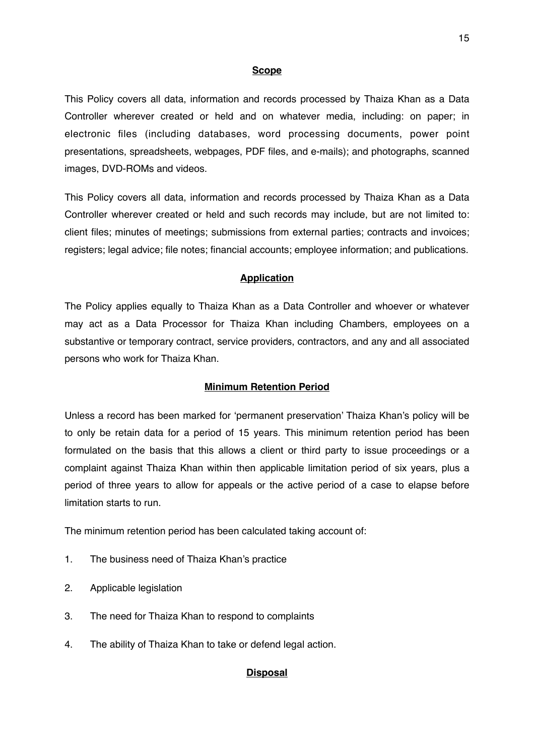#### **Scope**

This Policy covers all data, information and records processed by Thaiza Khan as a Data Controller wherever created or held and on whatever media, including: on paper; in electronic files (including databases, word processing documents, power point presentations, spreadsheets, webpages, PDF files, and e-mails); and photographs, scanned images, DVD-ROMs and videos.

This Policy covers all data, information and records processed by Thaiza Khan as a Data Controller wherever created or held and such records may include, but are not limited to: client files; minutes of meetings; submissions from external parties; contracts and invoices; registers; legal advice; file notes; financial accounts; employee information; and publications.

#### **Application**

The Policy applies equally to Thaiza Khan as a Data Controller and whoever or whatever may act as a Data Processor for Thaiza Khan including Chambers, employees on a substantive or temporary contract, service providers, contractors, and any and all associated persons who work for Thaiza Khan.

#### **Minimum Retention Period**

Unless a record has been marked for 'permanent preservation' Thaiza Khan's policy will be to only be retain data for a period of 15 years. This minimum retention period has been formulated on the basis that this allows a client or third party to issue proceedings or a complaint against Thaiza Khan within then applicable limitation period of six years, plus a period of three years to allow for appeals or the active period of a case to elapse before limitation starts to run.

The minimum retention period has been calculated taking account of:

- 1. The business need of Thaiza Khan's practice
- 2. Applicable legislation
- 3. The need for Thaiza Khan to respond to complaints
- 4. The ability of Thaiza Khan to take or defend legal action.

#### **Disposal**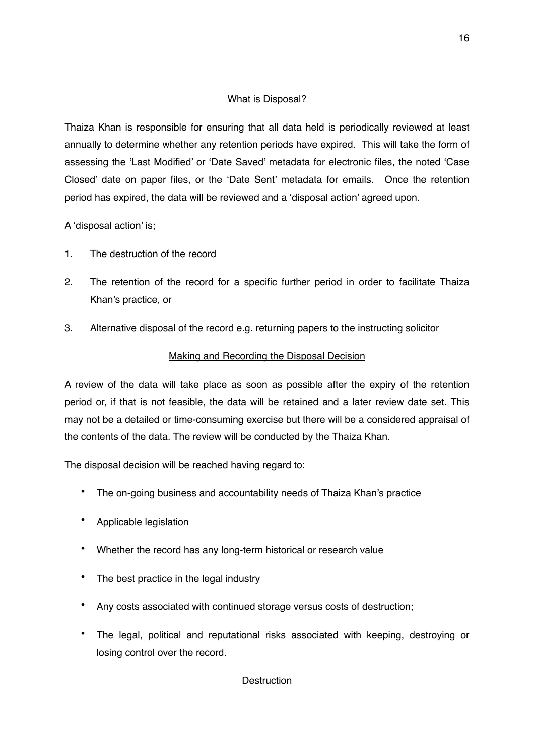# What is Disposal?

Thaiza Khan is responsible for ensuring that all data held is periodically reviewed at least annually to determine whether any retention periods have expired. This will take the form of assessing the 'Last Modified' or 'Date Saved' metadata for electronic files, the noted 'Case Closed' date on paper files, or the 'Date Sent' metadata for emails. Once the retention period has expired, the data will be reviewed and a 'disposal action' agreed upon.

A 'disposal action' is;

- 1. The destruction of the record
- 2. The retention of the record for a specific further period in order to facilitate Thaiza Khan's practice, or
- 3. Alternative disposal of the record e.g. returning papers to the instructing solicitor

# Making and Recording the Disposal Decision

A review of the data will take place as soon as possible after the expiry of the retention period or, if that is not feasible, the data will be retained and a later review date set. This may not be a detailed or time-consuming exercise but there will be a considered appraisal of the contents of the data. The review will be conducted by the Thaiza Khan.

The disposal decision will be reached having regard to:

- The on-going business and accountability needs of Thaiza Khan's practice
- Applicable legislation
- Whether the record has any long-term historical or research value
- The best practice in the legal industry
- Any costs associated with continued storage versus costs of destruction;
- The legal, political and reputational risks associated with keeping, destroying or losing control over the record.

# **Destruction**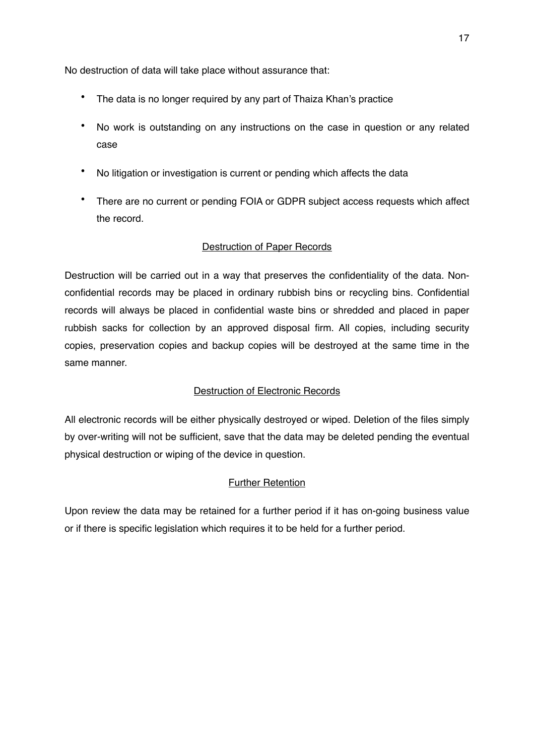No destruction of data will take place without assurance that:

- The data is no longer required by any part of Thaiza Khan's practice
- No work is outstanding on any instructions on the case in question or any related case
- No litigation or investigation is current or pending which affects the data
- There are no current or pending FOIA or GDPR subject access requests which affect the record.

# Destruction of Paper Records

Destruction will be carried out in a way that preserves the confidentiality of the data. Nonconfidential records may be placed in ordinary rubbish bins or recycling bins. Confidential records will always be placed in confidential waste bins or shredded and placed in paper rubbish sacks for collection by an approved disposal firm. All copies, including security copies, preservation copies and backup copies will be destroyed at the same time in the same manner.

# Destruction of Electronic Records

All electronic records will be either physically destroyed or wiped. Deletion of the files simply by over-writing will not be sufficient, save that the data may be deleted pending the eventual physical destruction or wiping of the device in question.

# Further Retention

Upon review the data may be retained for a further period if it has on-going business value or if there is specific legislation which requires it to be held for a further period.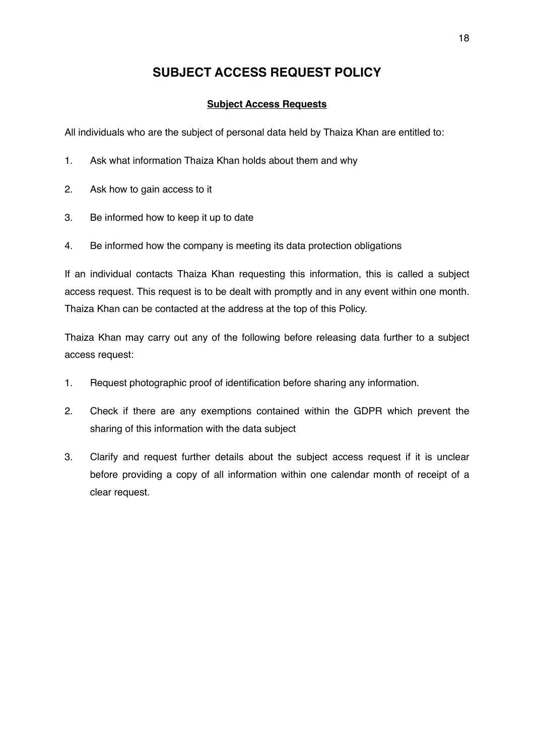# **SUBJECT ACCESS REQUEST POLICY**

# **Subject Access Requests**

All individuals who are the subject of personal data held by Thaiza Khan are entitled to:

- 1. Ask what information Thaiza Khan holds about them and why
- 2. Ask how to gain access to it
- 3. Be informed how to keep it up to date
- 4. Be informed how the company is meeting its data protection obligations

If an individual contacts Thaiza Khan requesting this information, this is called a subject access request. This request is to be dealt with promptly and in any event within one month. Thaiza Khan can be contacted at the address at the top of this Policy.

Thaiza Khan may carry out any of the following before releasing data further to a subject access request:

- 1. Request photographic proof of identification before sharing any information.
- 2. Check if there are any exemptions contained within the GDPR which prevent the sharing of this information with the data subject
- 3. Clarify and request further details about the subject access request if it is unclear before providing a copy of all information within one calendar month of receipt of a clear request.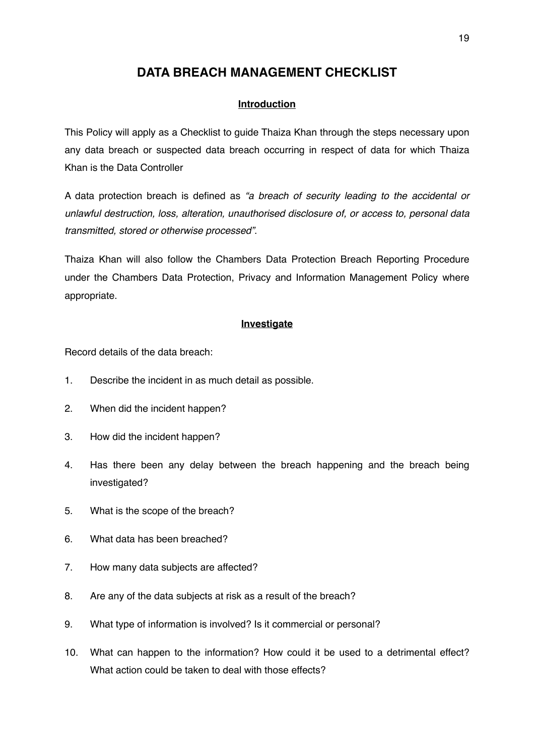# **DATA BREACH MANAGEMENT CHECKLIST**

### **Introduction**

This Policy will apply as a Checklist to guide Thaiza Khan through the steps necessary upon any data breach or suspected data breach occurring in respect of data for which Thaiza Khan is the Data Controller

A data protection breach is defined as *"a breach of security leading to the accidental or unlawful destruction, loss, alteration, unauthorised disclosure of, or access to, personal data transmitted, stored or otherwise processed"*.

Thaiza Khan will also follow the Chambers Data Protection Breach Reporting Procedure under the Chambers Data Protection, Privacy and Information Management Policy where appropriate.

#### **Investigate**

Record details of the data breach:

- 1. Describe the incident in as much detail as possible.
- 2. When did the incident happen?
- 3. How did the incident happen?
- 4. Has there been any delay between the breach happening and the breach being investigated?
- 5. What is the scope of the breach?
- 6. What data has been breached?
- 7. How many data subjects are affected?
- 8. Are any of the data subjects at risk as a result of the breach?
- 9. What type of information is involved? Is it commercial or personal?
- 10. What can happen to the information? How could it be used to a detrimental effect? What action could be taken to deal with those effects?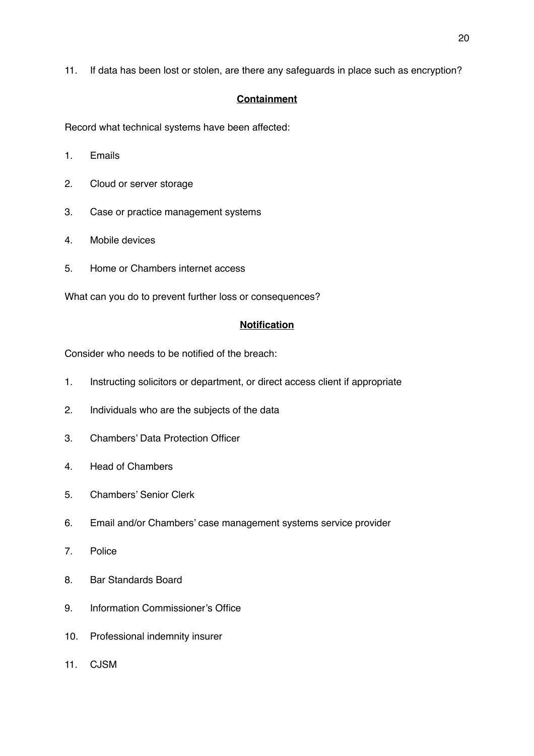11. If data has been lost or stolen, are there any safeguards in place such as encryption?

## **Containment**

Record what technical systems have been affected:

- 1. Emails
- 2. Cloud or server storage
- 3. Case or practice management systems
- 4. Mobile devices
- 5. Home or Chambers internet access

What can you do to prevent further loss or consequences?

#### **Notification**

Consider who needs to be notified of the breach:

- 1. Instructing solicitors or department, or direct access client if appropriate
- 2. Individuals who are the subjects of the data
- 3. Chambers' Data Protection Officer
- 4. Head of Chambers
- 5. Chambers' Senior Clerk
- 6. Email and/or Chambers' case management systems service provider
- 7. Police
- 8. Bar Standards Board
- 9. Information Commissioner's Office
- 10. Professional indemnity insurer
- 11. CJSM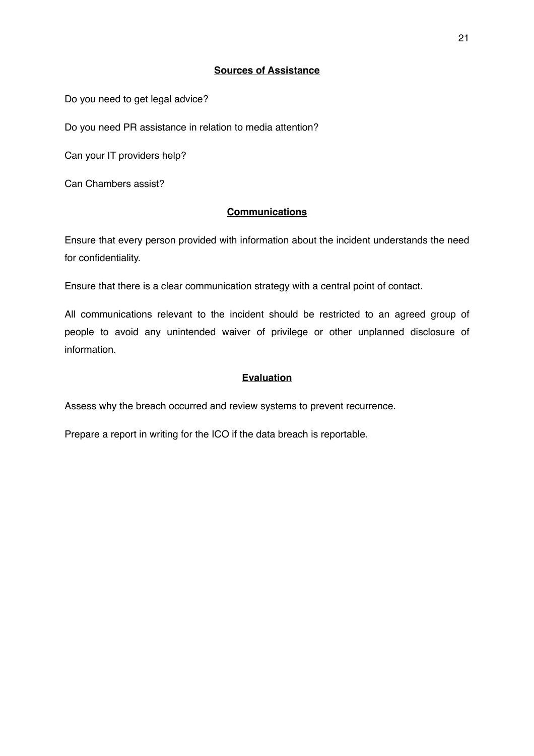## **Sources of Assistance**

Do you need to get legal advice?

Do you need PR assistance in relation to media attention?

Can your IT providers help?

Can Chambers assist?

# **Communications**

Ensure that every person provided with information about the incident understands the need for confidentiality.

Ensure that there is a clear communication strategy with a central point of contact.

All communications relevant to the incident should be restricted to an agreed group of people to avoid any unintended waiver of privilege or other unplanned disclosure of information.

# **Evaluation**

Assess why the breach occurred and review systems to prevent recurrence.

Prepare a report in writing for the ICO if the data breach is reportable.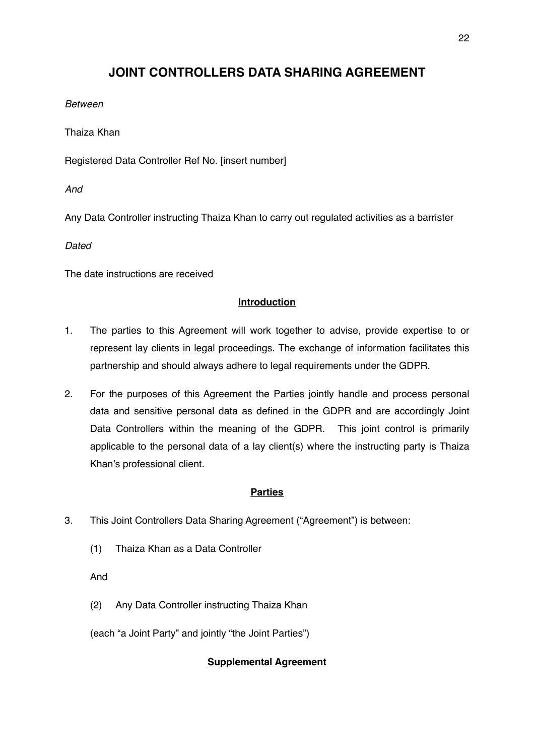# **JOINT CONTROLLERS DATA SHARING AGREEMENT**

# *Between*

Thaiza Khan

Registered Data Controller Ref No. [insert number]

*And* 

Any Data Controller instructing Thaiza Khan to carry out regulated activities as a barrister

*Dated* 

The date instructions are received

# **Introduction**

- 1. The parties to this Agreement will work together to advise, provide expertise to or represent lay clients in legal proceedings. The exchange of information facilitates this partnership and should always adhere to legal requirements under the GDPR.
- 2. For the purposes of this Agreement the Parties jointly handle and process personal data and sensitive personal data as defined in the GDPR and are accordingly Joint Data Controllers within the meaning of the GDPR. This joint control is primarily applicable to the personal data of a lay client(s) where the instructing party is Thaiza Khan's professional client.

# **Parties**

- 3. This Joint Controllers Data Sharing Agreement ("Agreement") is between:
	- (1) Thaiza Khan as a Data Controller

And

(2) Any Data Controller instructing Thaiza Khan

(each "a Joint Party" and jointly "the Joint Parties")

# **Supplemental Agreement**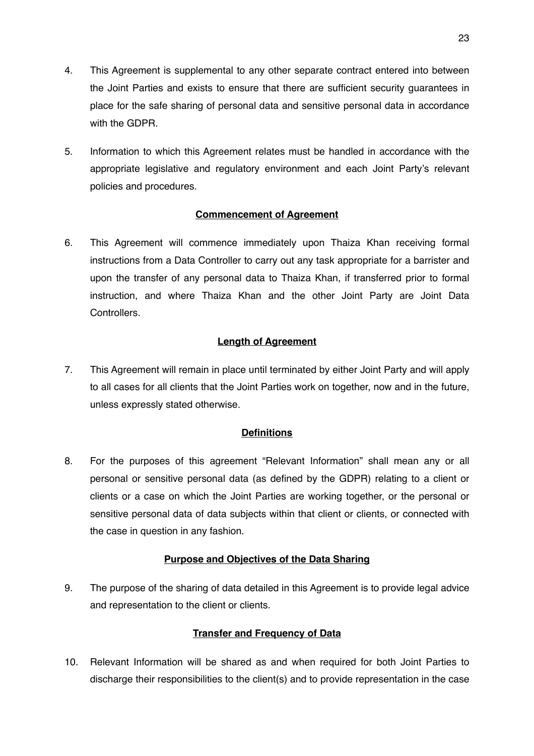- 4. This Agreement is supplemental to any other separate contract entered into between the Joint Parties and exists to ensure that there are sufficient security guarantees in place for the safe sharing of personal data and sensitive personal data in accordance with the GDPR.
- 5. Information to which this Agreement relates must be handled in accordance with the appropriate legislative and regulatory environment and each Joint Party's relevant policies and procedures.

# **Commencement of Agreement**

6. This Agreement will commence immediately upon Thaiza Khan receiving formal instructions from a Data Controller to carry out any task appropriate for a barrister and upon the transfer of any personal data to Thaiza Khan, if transferred prior to formal instruction, and where Thaiza Khan and the other Joint Party are Joint Data **Controllers** 

# **Length of Agreement**

7. This Agreement will remain in place until terminated by either Joint Party and will apply to all cases for all clients that the Joint Parties work on together, now and in the future, unless expressly stated otherwise.

### **Definitions**

8. For the purposes of this agreement "Relevant Information" shall mean any or all personal or sensitive personal data (as defined by the GDPR) relating to a client or clients or a case on which the Joint Parties are working together, or the personal or sensitive personal data of data subjects within that client or clients, or connected with the case in question in any fashion.

### **Purpose and Objectives of the Data Sharing**

9. The purpose of the sharing of data detailed in this Agreement is to provide legal advice and representation to the client or clients.

### **Transfer and Frequency of Data**

10. Relevant Information will be shared as and when required for both Joint Parties to discharge their responsibilities to the client(s) and to provide representation in the case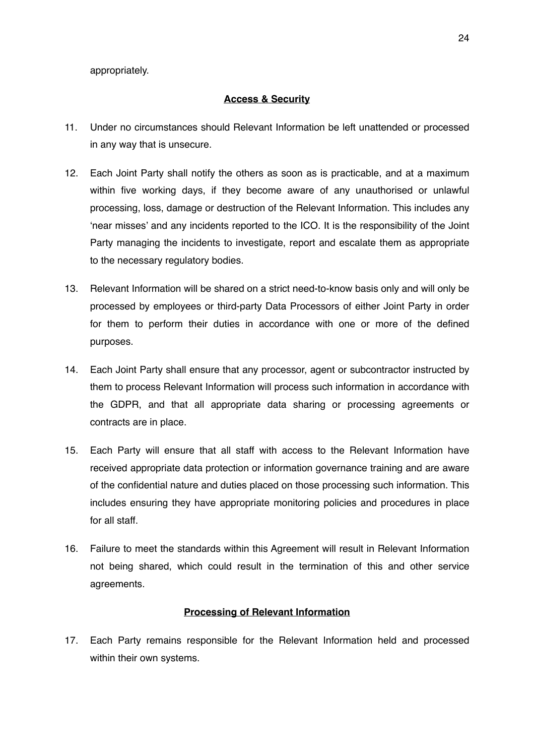appropriately.

#### **Access & Security**

- 11. Under no circumstances should Relevant Information be left unattended or processed in any way that is unsecure.
- 12. Each Joint Party shall notify the others as soon as is practicable, and at a maximum within five working days, if they become aware of any unauthorised or unlawful processing, loss, damage or destruction of the Relevant Information. This includes any 'near misses' and any incidents reported to the ICO. It is the responsibility of the Joint Party managing the incidents to investigate, report and escalate them as appropriate to the necessary regulatory bodies.
- 13. Relevant Information will be shared on a strict need-to-know basis only and will only be processed by employees or third-party Data Processors of either Joint Party in order for them to perform their duties in accordance with one or more of the defined purposes.
- 14. Each Joint Party shall ensure that any processor, agent or subcontractor instructed by them to process Relevant Information will process such information in accordance with the GDPR, and that all appropriate data sharing or processing agreements or contracts are in place.
- 15. Each Party will ensure that all staff with access to the Relevant Information have received appropriate data protection or information governance training and are aware of the confidential nature and duties placed on those processing such information. This includes ensuring they have appropriate monitoring policies and procedures in place for all staff.
- 16. Failure to meet the standards within this Agreement will result in Relevant Information not being shared, which could result in the termination of this and other service agreements.

### **Processing of Relevant Information**

17. Each Party remains responsible for the Relevant Information held and processed within their own systems.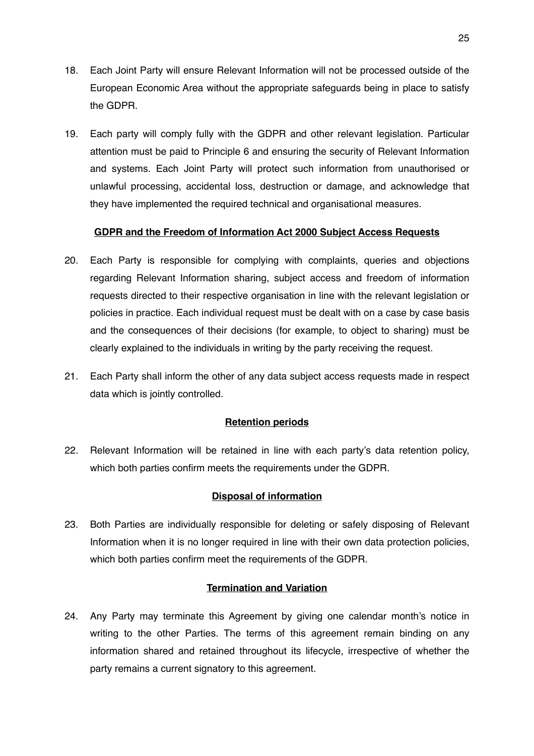- 18. Each Joint Party will ensure Relevant Information will not be processed outside of the European Economic Area without the appropriate safeguards being in place to satisfy the GDPR.
- 19. Each party will comply fully with the GDPR and other relevant legislation. Particular attention must be paid to Principle 6 and ensuring the security of Relevant Information and systems. Each Joint Party will protect such information from unauthorised or unlawful processing, accidental loss, destruction or damage, and acknowledge that they have implemented the required technical and organisational measures.

# **GDPR and the Freedom of Information Act 2000 Subject Access Requests**

- 20. Each Party is responsible for complying with complaints, queries and objections regarding Relevant Information sharing, subject access and freedom of information requests directed to their respective organisation in line with the relevant legislation or policies in practice. Each individual request must be dealt with on a case by case basis and the consequences of their decisions (for example, to object to sharing) must be clearly explained to the individuals in writing by the party receiving the request.
- 21. Each Party shall inform the other of any data subject access requests made in respect data which is jointly controlled.

### **Retention periods**

22. Relevant Information will be retained in line with each party's data retention policy, which both parties confirm meets the requirements under the GDPR.

# **Disposal of information**

23. Both Parties are individually responsible for deleting or safely disposing of Relevant Information when it is no longer required in line with their own data protection policies, which both parties confirm meet the requirements of the GDPR.

### **Termination and Variation**

24. Any Party may terminate this Agreement by giving one calendar month's notice in writing to the other Parties. The terms of this agreement remain binding on any information shared and retained throughout its lifecycle, irrespective of whether the party remains a current signatory to this agreement.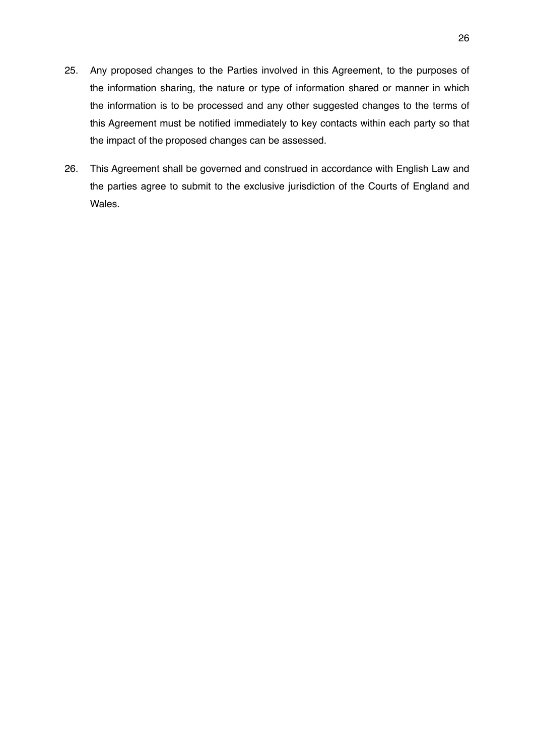- 25. Any proposed changes to the Parties involved in this Agreement, to the purposes of the information sharing, the nature or type of information shared or manner in which the information is to be processed and any other suggested changes to the terms of this Agreement must be notified immediately to key contacts within each party so that the impact of the proposed changes can be assessed.
- 26. This Agreement shall be governed and construed in accordance with English Law and the parties agree to submit to the exclusive jurisdiction of the Courts of England and Wales.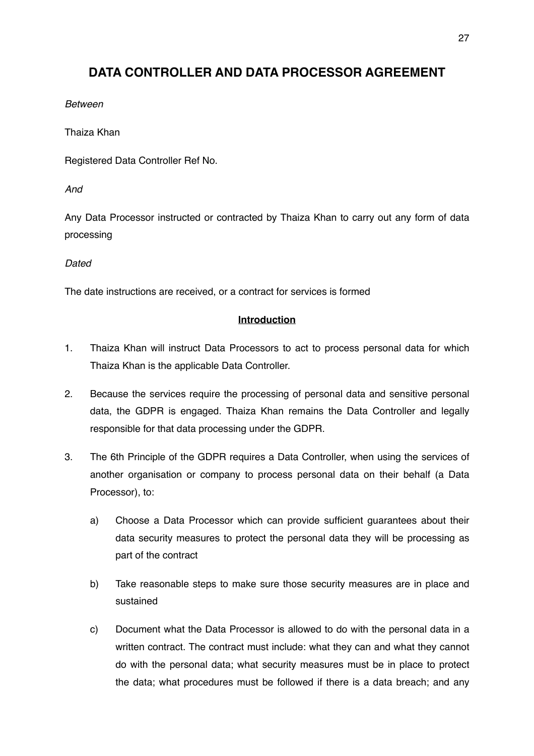# **DATA CONTROLLER AND DATA PROCESSOR AGREEMENT**

## *Between*

Thaiza Khan

Registered Data Controller Ref No.

*And* 

Any Data Processor instructed or contracted by Thaiza Khan to carry out any form of data processing

# *Dated*

The date instructions are received, or a contract for services is formed

# **Introduction**

- 1. Thaiza Khan will instruct Data Processors to act to process personal data for which Thaiza Khan is the applicable Data Controller.
- 2. Because the services require the processing of personal data and sensitive personal data, the GDPR is engaged. Thaiza Khan remains the Data Controller and legally responsible for that data processing under the GDPR.
- 3. The 6th Principle of the GDPR requires a Data Controller, when using the services of another organisation or company to process personal data on their behalf (a Data Processor), to:
	- a) Choose a Data Processor which can provide sufficient guarantees about their data security measures to protect the personal data they will be processing as part of the contract
	- b) Take reasonable steps to make sure those security measures are in place and sustained
	- c) Document what the Data Processor is allowed to do with the personal data in a written contract. The contract must include: what they can and what they cannot do with the personal data; what security measures must be in place to protect the data; what procedures must be followed if there is a data breach; and any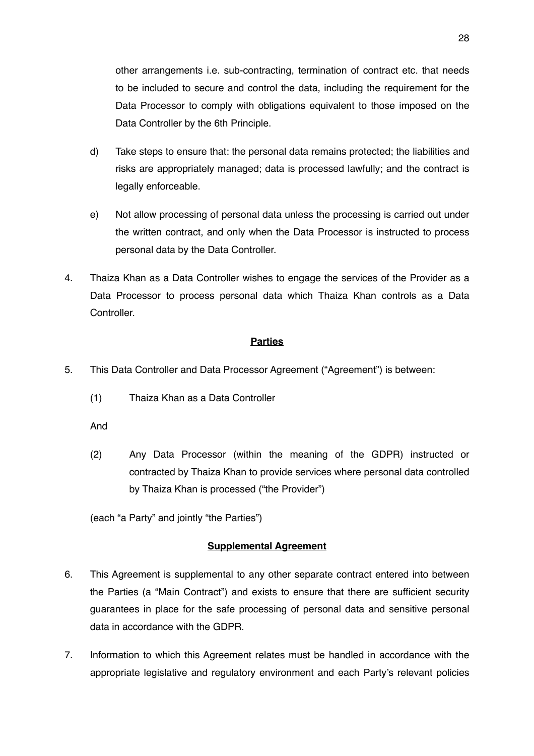other arrangements i.e. sub-contracting, termination of contract etc. that needs to be included to secure and control the data, including the requirement for the Data Processor to comply with obligations equivalent to those imposed on the Data Controller by the 6th Principle.

- d) Take steps to ensure that: the personal data remains protected; the liabilities and risks are appropriately managed; data is processed lawfully; and the contract is legally enforceable.
- e) Not allow processing of personal data unless the processing is carried out under the written contract, and only when the Data Processor is instructed to process personal data by the Data Controller.
- 4. Thaiza Khan as a Data Controller wishes to engage the services of the Provider as a Data Processor to process personal data which Thaiza Khan controls as a Data **Controller**

# **Parties**

- 5. This Data Controller and Data Processor Agreement ("Agreement") is between:
	- (1) Thaiza Khan as a Data Controller
	- And
	- (2) Any Data Processor (within the meaning of the GDPR) instructed or contracted by Thaiza Khan to provide services where personal data controlled by Thaiza Khan is processed ("the Provider")

(each "a Party" and jointly "the Parties")

### **Supplemental Agreement**

- 6. This Agreement is supplemental to any other separate contract entered into between the Parties (a "Main Contract") and exists to ensure that there are sufficient security guarantees in place for the safe processing of personal data and sensitive personal data in accordance with the GDPR.
- 7. Information to which this Agreement relates must be handled in accordance with the appropriate legislative and regulatory environment and each Party's relevant policies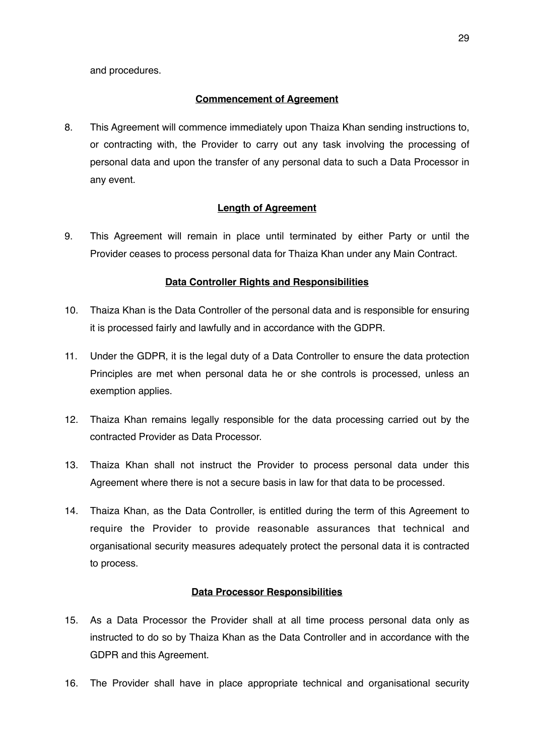and procedures.

## **Commencement of Agreement**

8. This Agreement will commence immediately upon Thaiza Khan sending instructions to, or contracting with, the Provider to carry out any task involving the processing of personal data and upon the transfer of any personal data to such a Data Processor in any event.

# **Length of Agreement**

9. This Agreement will remain in place until terminated by either Party or until the Provider ceases to process personal data for Thaiza Khan under any Main Contract.

# **Data Controller Rights and Responsibilities**

- 10. Thaiza Khan is the Data Controller of the personal data and is responsible for ensuring it is processed fairly and lawfully and in accordance with the GDPR.
- 11. Under the GDPR, it is the legal duty of a Data Controller to ensure the data protection Principles are met when personal data he or she controls is processed, unless an exemption applies.
- 12. Thaiza Khan remains legally responsible for the data processing carried out by the contracted Provider as Data Processor.
- 13. Thaiza Khan shall not instruct the Provider to process personal data under this Agreement where there is not a secure basis in law for that data to be processed.
- 14. Thaiza Khan, as the Data Controller, is entitled during the term of this Agreement to require the Provider to provide reasonable assurances that technical and organisational security measures adequately protect the personal data it is contracted to process.

### **Data Processor Responsibilities**

- 15. As a Data Processor the Provider shall at all time process personal data only as instructed to do so by Thaiza Khan as the Data Controller and in accordance with the GDPR and this Agreement.
- 16. The Provider shall have in place appropriate technical and organisational security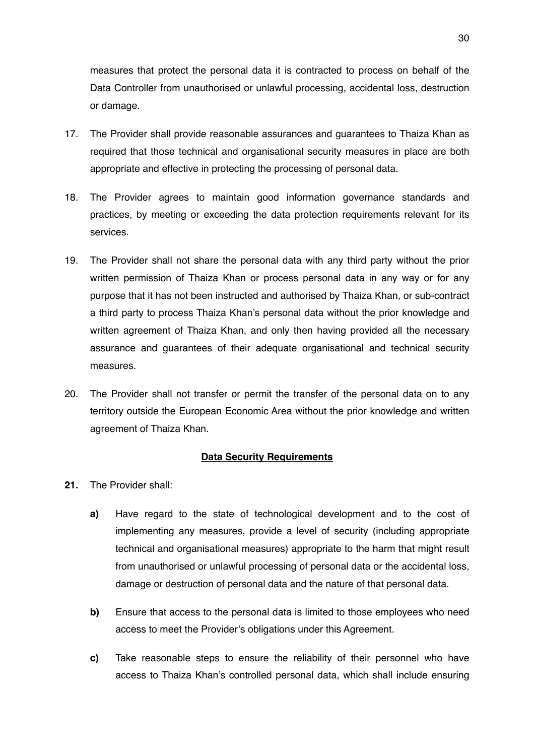measures that protect the personal data it is contracted to process on behalf of the Data Controller from unauthorised or unlawful processing, accidental loss, destruction or damage.

- 17. The Provider shall provide reasonable assurances and guarantees to Thaiza Khan as required that those technical and organisational security measures in place are both appropriate and effective in protecting the processing of personal data.
- 18. The Provider agrees to maintain good information governance standards and practices, by meeting or exceeding the data protection requirements relevant for its services.
- 19. The Provider shall not share the personal data with any third party without the prior written permission of Thaiza Khan or process personal data in any way or for any purpose that it has not been instructed and authorised by Thaiza Khan, or sub-contract a third party to process Thaiza Khan's personal data without the prior knowledge and written agreement of Thaiza Khan, and only then having provided all the necessary assurance and guarantees of their adequate organisational and technical security measures.
- 20. The Provider shall not transfer or permit the transfer of the personal data on to any territory outside the European Economic Area without the prior knowledge and written agreement of Thaiza Khan.

#### **Data Security Requirements**

- **21.** The Provider shall:
	- **a)** Have regard to the state of technological development and to the cost of implementing any measures, provide a level of security (including appropriate technical and organisational measures) appropriate to the harm that might result from unauthorised or unlawful processing of personal data or the accidental loss, damage or destruction of personal data and the nature of that personal data.
	- **b)** Ensure that access to the personal data is limited to those employees who need access to meet the Provider's obligations under this Agreement.
	- **c)** Take reasonable steps to ensure the reliability of their personnel who have access to Thaiza Khan's controlled personal data, which shall include ensuring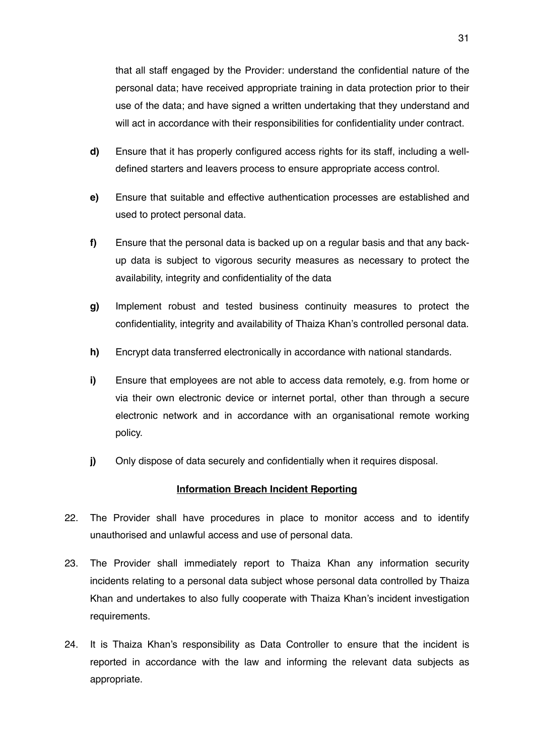that all staff engaged by the Provider: understand the confidential nature of the personal data; have received appropriate training in data protection prior to their use of the data; and have signed a written undertaking that they understand and will act in accordance with their responsibilities for confidentiality under contract.

- **d)** Ensure that it has properly configured access rights for its staff, including a welldefined starters and leavers process to ensure appropriate access control.
- **e)** Ensure that suitable and effective authentication processes are established and used to protect personal data.
- **f)** Ensure that the personal data is backed up on a regular basis and that any backup data is subject to vigorous security measures as necessary to protect the availability, integrity and confidentiality of the data
- **g)** Implement robust and tested business continuity measures to protect the confidentiality, integrity and availability of Thaiza Khan's controlled personal data.
- **h)** Encrypt data transferred electronically in accordance with national standards.
- **i)** Ensure that employees are not able to access data remotely, e.g. from home or via their own electronic device or internet portal, other than through a secure electronic network and in accordance with an organisational remote working policy.
- **j)** Only dispose of data securely and confidentially when it requires disposal.

#### **Information Breach Incident Reporting**

- 22. The Provider shall have procedures in place to monitor access and to identify unauthorised and unlawful access and use of personal data.
- 23. The Provider shall immediately report to Thaiza Khan any information security incidents relating to a personal data subject whose personal data controlled by Thaiza Khan and undertakes to also fully cooperate with Thaiza Khan's incident investigation requirements.
- 24. It is Thaiza Khan's responsibility as Data Controller to ensure that the incident is reported in accordance with the law and informing the relevant data subjects as appropriate.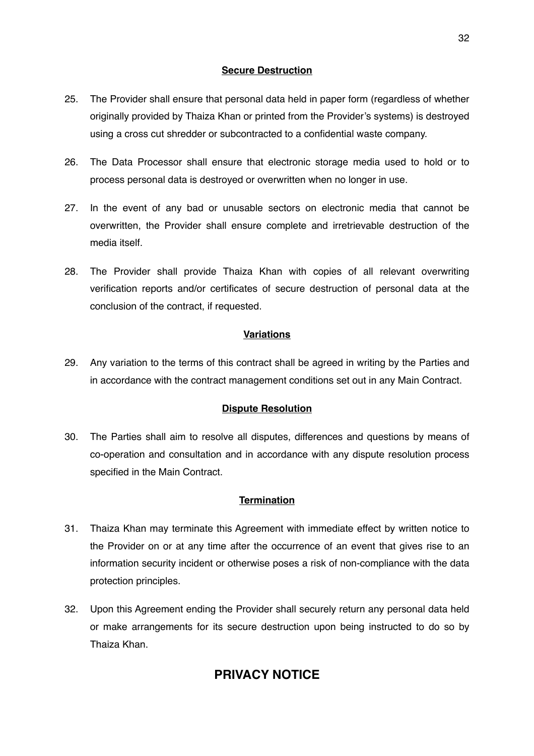# **Secure Destruction**

- 25. The Provider shall ensure that personal data held in paper form (regardless of whether originally provided by Thaiza Khan or printed from the Provider's systems) is destroyed using a cross cut shredder or subcontracted to a confidential waste company.
- 26. The Data Processor shall ensure that electronic storage media used to hold or to process personal data is destroyed or overwritten when no longer in use.
- 27. In the event of any bad or unusable sectors on electronic media that cannot be overwritten, the Provider shall ensure complete and irretrievable destruction of the media itself.
- 28. The Provider shall provide Thaiza Khan with copies of all relevant overwriting verification reports and/or certificates of secure destruction of personal data at the conclusion of the contract, if requested.

# **Variations**

29. Any variation to the terms of this contract shall be agreed in writing by the Parties and in accordance with the contract management conditions set out in any Main Contract.

### **Dispute Resolution**

30. The Parties shall aim to resolve all disputes, differences and questions by means of co-operation and consultation and in accordance with any dispute resolution process specified in the Main Contract.

### **Termination**

- 31. Thaiza Khan may terminate this Agreement with immediate effect by written notice to the Provider on or at any time after the occurrence of an event that gives rise to an information security incident or otherwise poses a risk of non-compliance with the data protection principles.
- 32. Upon this Agreement ending the Provider shall securely return any personal data held or make arrangements for its secure destruction upon being instructed to do so by Thaiza Khan.

# **PRIVACY NOTICE**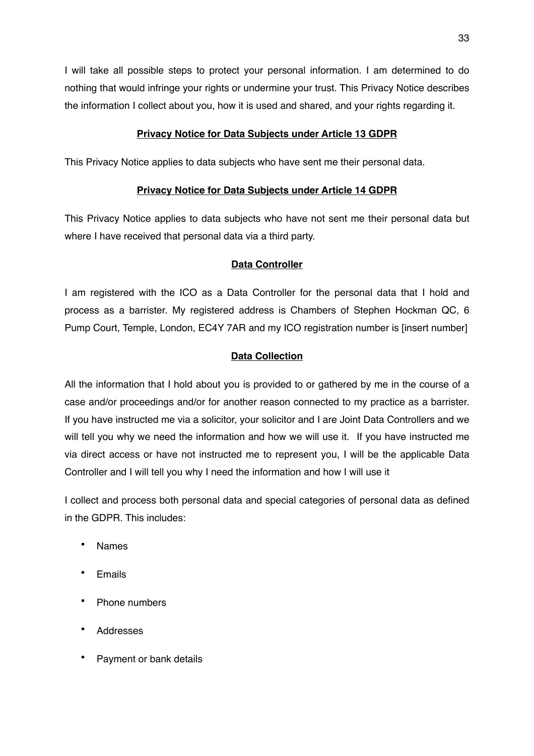I will take all possible steps to protect your personal information. I am determined to do nothing that would infringe your rights or undermine your trust. This Privacy Notice describes the information I collect about you, how it is used and shared, and your rights regarding it.

# **Privacy Notice for Data Subjects under Article 13 GDPR**

This Privacy Notice applies to data subjects who have sent me their personal data.

# **Privacy Notice for Data Subjects under Article 14 GDPR**

This Privacy Notice applies to data subjects who have not sent me their personal data but where I have received that personal data via a third party.

# **Data Controller**

I am registered with the ICO as a Data Controller for the personal data that I hold and process as a barrister. My registered address is Chambers of Stephen Hockman QC, 6 Pump Court, Temple, London, EC4Y 7AR and my ICO registration number is [insert number]

# **Data Collection**

All the information that I hold about you is provided to or gathered by me in the course of a case and/or proceedings and/or for another reason connected to my practice as a barrister. If you have instructed me via a solicitor, your solicitor and I are Joint Data Controllers and we will tell you why we need the information and how we will use it. If you have instructed me via direct access or have not instructed me to represent you, I will be the applicable Data Controller and I will tell you why I need the information and how I will use it

I collect and process both personal data and special categories of personal data as defined in the GDPR. This includes:

- Names
- **Emails**
- Phone numbers
- Addresses
- Payment or bank details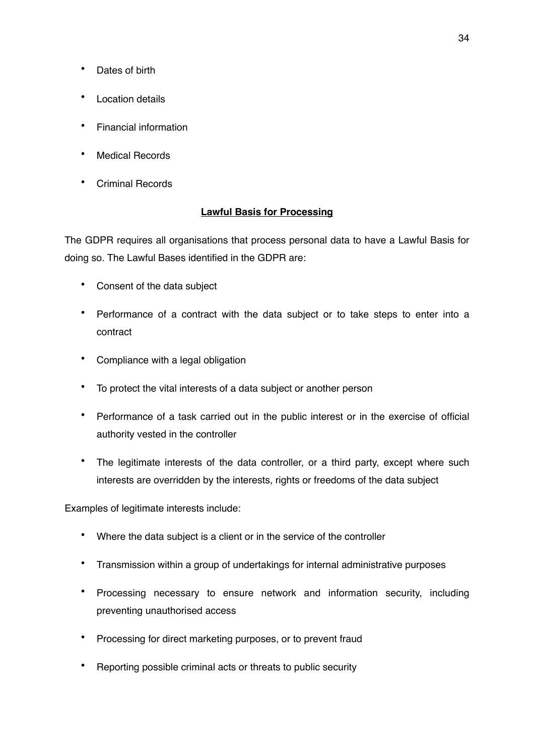- Dates of birth
- Location details
- Financial information
- Medical Records
- Criminal Records

# **Lawful Basis for Processing**

The GDPR requires all organisations that process personal data to have a Lawful Basis for doing so. The Lawful Bases identified in the GDPR are:

- Consent of the data subject
- Performance of a contract with the data subject or to take steps to enter into a contract
- Compliance with a legal obligation
- To protect the vital interests of a data subject or another person
- Performance of a task carried out in the public interest or in the exercise of official authority vested in the controller
- The legitimate interests of the data controller, or a third party, except where such interests are overridden by the interests, rights or freedoms of the data subject

Examples of legitimate interests include:

- Where the data subject is a client or in the service of the controller
- Transmission within a group of undertakings for internal administrative purposes
- Processing necessary to ensure network and information security, including preventing unauthorised access
- Processing for direct marketing purposes, or to prevent fraud
- Reporting possible criminal acts or threats to public security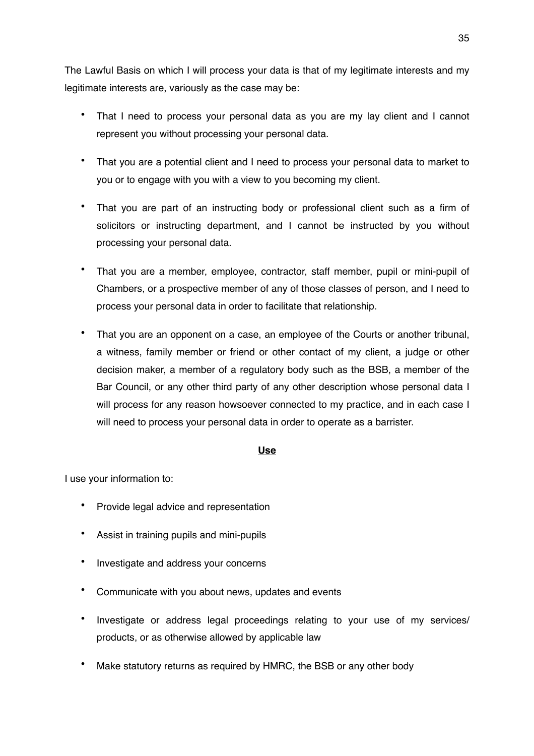The Lawful Basis on which I will process your data is that of my legitimate interests and my legitimate interests are, variously as the case may be:

- That I need to process your personal data as you are my lay client and I cannot represent you without processing your personal data.
- That you are a potential client and I need to process your personal data to market to you or to engage with you with a view to you becoming my client.
- That you are part of an instructing body or professional client such as a firm of solicitors or instructing department, and I cannot be instructed by you without processing your personal data.
- That you are a member, employee, contractor, staff member, pupil or mini-pupil of Chambers, or a prospective member of any of those classes of person, and I need to process your personal data in order to facilitate that relationship.
- That you are an opponent on a case, an employee of the Courts or another tribunal, a witness, family member or friend or other contact of my client, a judge or other decision maker, a member of a regulatory body such as the BSB, a member of the Bar Council, or any other third party of any other description whose personal data I will process for any reason howsoever connected to my practice, and in each case I will need to process your personal data in order to operate as a barrister.

#### **Use**

I use your information to:

- Provide legal advice and representation
- Assist in training pupils and mini-pupils
- Investigate and address your concerns
- Communicate with you about news, updates and events
- Investigate or address legal proceedings relating to your use of my services/ products, or as otherwise allowed by applicable law
- Make statutory returns as required by HMRC, the BSB or any other body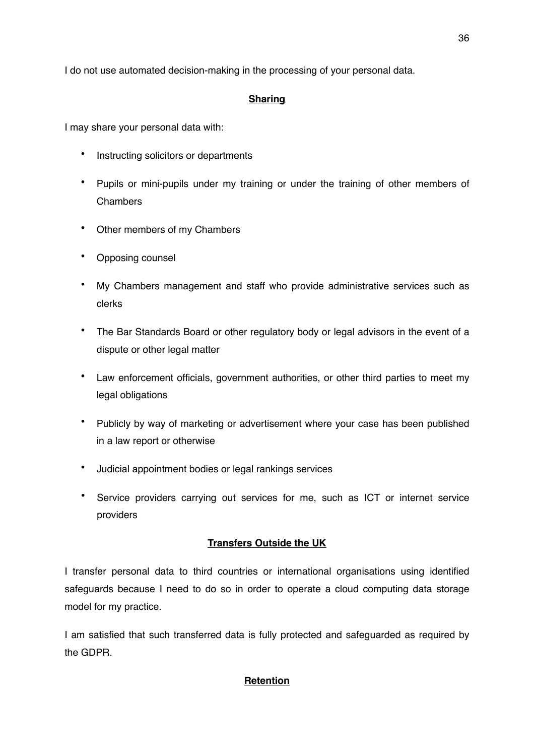I do not use automated decision-making in the processing of your personal data.

# **Sharing**

I may share your personal data with:

- Instructing solicitors or departments
- Pupils or mini-pupils under my training or under the training of other members of **Chambers**
- Other members of my Chambers
- Opposing counsel
- My Chambers management and staff who provide administrative services such as clerks
- The Bar Standards Board or other regulatory body or legal advisors in the event of a dispute or other legal matter
- Law enforcement officials, government authorities, or other third parties to meet my legal obligations
- Publicly by way of marketing or advertisement where your case has been published in a law report or otherwise
- Judicial appointment bodies or legal rankings services
- Service providers carrying out services for me, such as ICT or internet service providers

# **Transfers Outside the UK**

I transfer personal data to third countries or international organisations using identified safeguards because I need to do so in order to operate a cloud computing data storage model for my practice.

I am satisfied that such transferred data is fully protected and safeguarded as required by the GDPR.

# **Retention**